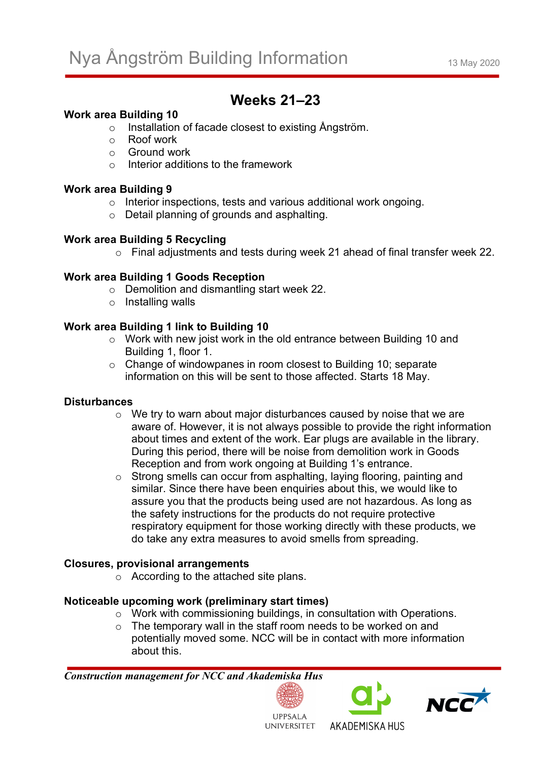# **Weeks 21–23**

# **Work area Building 10**

- o Installation of facade closest to existing Ångström.
- o Roof work
- o Ground work
- $\circ$  Interior additions to the framework

# **Work area Building 9**

- o Interior inspections, tests and various additional work ongoing.
- o Detail planning of grounds and asphalting.

#### **Work area Building 5 Recycling**

o Final adjustments and tests during week 21 ahead of final transfer week 22.

# **Work area Building 1 Goods Reception**

- o Demolition and dismantling start week 22.
- o Installing walls

# **Work area Building 1 link to Building 10**

- o Work with new joist work in the old entrance between Building 10 and Building 1, floor 1.
- o Change of windowpanes in room closest to Building 10; separate information on this will be sent to those affected. Starts 18 May.

# **Disturbances**

- o We try to warn about major disturbances caused by noise that we are aware of. However, it is not always possible to provide the right information about times and extent of the work. Ear plugs are available in the library. During this period, there will be noise from demolition work in Goods Reception and from work ongoing at Building 1's entrance.
- o Strong smells can occur from asphalting, laying flooring, painting and similar. Since there have been enquiries about this, we would like to assure you that the products being used are not hazardous. As long as the safety instructions for the products do not require protective respiratory equipment for those working directly with these products, we do take any extra measures to avoid smells from spreading.

# **Closures, provisional arrangements**

o According to the attached site plans.

# **Noticeable upcoming work (preliminary start times)**

- o Work with commissioning buildings, in consultation with Operations.
- o The temporary wall in the staff room needs to be worked on and potentially moved some. NCC will be in contact with more information about this.

*Construction management for NCC and Akademiska Hus*







UNIVERSITET